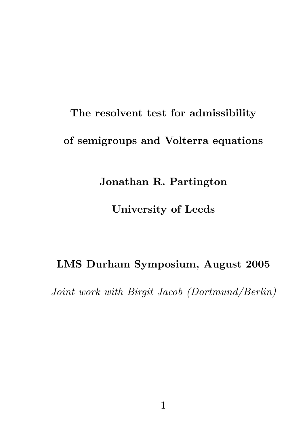# The resolvent test for admissibility of semigroups and Volterra equations

## Jonathan R. Partington

## University of Leeds

## LMS Durham Symposium, August 2005

Joint work with Birgit Jacob (Dortmund/Berlin)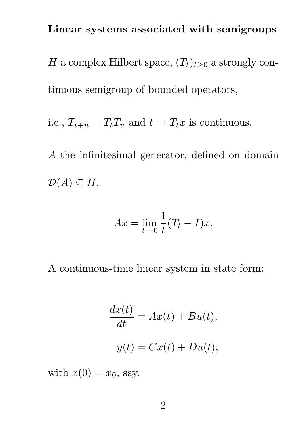## Linear systems associated with semigroups

H a complex Hilbert space,  $(T_t)_{t\geq 0}$  a strongly continuous semigroup of bounded operators,

i.e.,  $T_{t+u} = T_t T_u$  and  $t \mapsto T_t x$  is continuous.

A the infinitesimal generator, defined on domain  $\mathcal{D}(A) \subseteq H$ .

$$
Ax = \lim_{t \to 0} \frac{1}{t} (T_t - I)x.
$$

A continuous-time linear system in state form:

$$
\frac{dx(t)}{dt} = Ax(t) + Bu(t),
$$

$$
y(t) = Cx(t) + Du(t),
$$

with  $x(0) = x_0$ , say.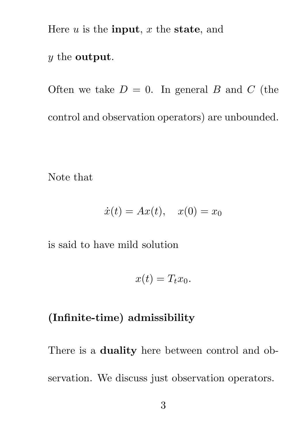Here  $u$  is the **input**,  $x$  the **state**, and

#### y the output.

Often we take  $D = 0$ . In general B and C (the control and observation operators) are unbounded.

Note that

$$
\dot{x}(t) = Ax(t), \quad x(0) = x_0
$$

is said to have mild solution

$$
x(t) = T_t x_0.
$$

## (Infinite-time) admissibility

There is a **duality** here between control and observation. We discuss just observation operators.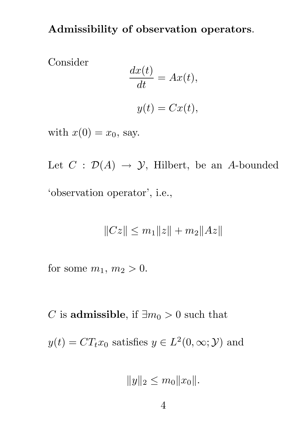Admissibility of observation operators.

Consider

$$
\frac{dx(t)}{dt} = Ax(t),
$$

$$
y(t) = Cx(t),
$$

with  $x(0) = x_0$ , say.

Let  $C : \mathcal{D}(A) \rightarrow \mathcal{Y}$ , Hilbert, be an A-bounded 'observation operator', i.e.,

$$
||Cz|| \le m_1 ||z|| + m_2 ||Az||
$$

for some  $m_1, m_2 > 0$ .

C is admissible, if  $\exists m_0 > 0$  such that  $y(t) = CT_t x_0$  satisfies  $y \in L^2(0, \infty; \mathcal{Y})$  and

$$
||y||_2 \le m_0 ||x_0||.
$$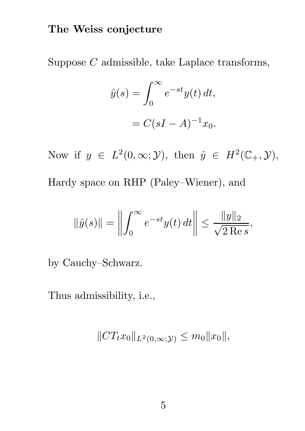## The Weiss conjecture

Suppose C admissible, take Laplace transforms,

$$
\hat{y}(s) = \int_0^\infty e^{-st} y(t) dt,
$$

$$
= C(sI - A)^{-1} x_0.
$$

Now if  $y \in L^2(0, \infty; \mathcal{Y})$ , then  $\hat{y} \in H^2(\mathbb{C}_+, \mathcal{Y})$ , Hardy space on RHP (Paley–Wiener), and

$$
\|\hat{y}(s)\| = \left\| \int_0^\infty e^{-st} y(t) dt \right\| \le \frac{\|y\|_2}{\sqrt{2 \text{ Re } s}},
$$

by Cauchy–Schwarz.

Thus admissibility, i.e.,

$$
||CT_{t}x_{0}||_{L^{2}(0,\infty;\mathcal{Y})} \leq m_{0}||x_{0}||,
$$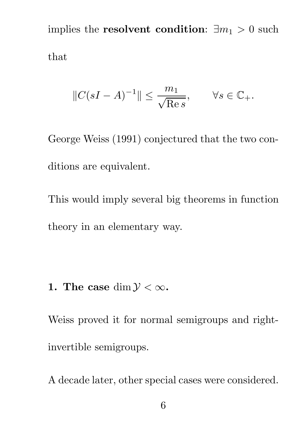implies the **resolvent condition**:  $\exists m_1 > 0$  such that

$$
||C(sI - A)^{-1}|| \le \frac{m_1}{\sqrt{\text{Re } s}}, \qquad \forall s \in \mathbb{C}_+.
$$

George Weiss (1991) conjectured that the two conditions are equivalent.

This would imply several big theorems in function theory in an elementary way.

## 1. The case dim  $\mathcal{Y} < \infty$ .

Weiss proved it for normal semigroups and rightinvertible semigroups.

A decade later, other special cases were considered.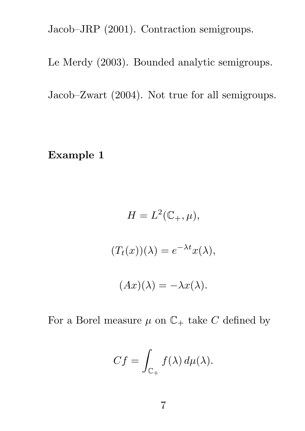Jacob–JRP (2001). Contraction semigroups.

Le Merdy (2003). Bounded analytic semigroups.

Jacob–Zwart (2004). Not true for all semigroups.

Example 1

$$
H = L^{2}(\mathbb{C}_{+}, \mu),
$$
  

$$
(T_{t}(x))(\lambda) = e^{-\lambda t}x(\lambda),
$$
  

$$
(Ax)(\lambda) = -\lambda x(\lambda).
$$

For a Borel measure  $\mu$  on  $\mathbb{C}_+$  take C defined by

$$
Cf = \int_{\mathbb{C}_+} f(\lambda) d\mu(\lambda).
$$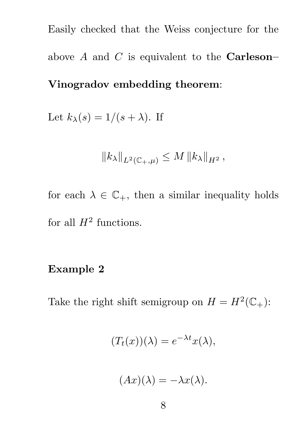Easily checked that the Weiss conjecture for the above  $A$  and  $C$  is equivalent to the **Carleson**-Vinogradov embedding theorem:

Let  $k_{\lambda}(s) = 1/(s + \lambda)$ . If

$$
||k_{\lambda}||_{L^{2}(\mathbb{C}_{+},\mu)} \leq M ||k_{\lambda}||_{H^{2}},
$$

for each  $\lambda \in \mathbb{C}_+$ , then a similar inequality holds for all  $H^2$  functions.

#### Example 2

Take the right shift semigroup on  $H = H^2(\mathbb{C}_+)$ :

$$
(T_t(x))(\lambda) = e^{-\lambda t}x(\lambda),
$$

$$
(Ax)(\lambda) = -\lambda x(\lambda).
$$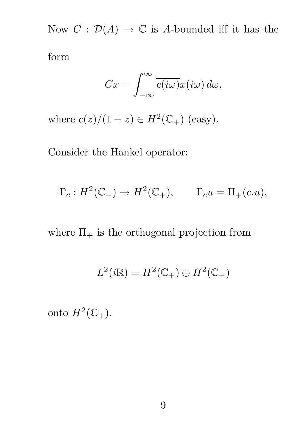Now  $C: \mathcal{D}(A) \to \mathbb{C}$  is A-bounded iff it has the

form

$$
Cx = \int_{-\infty}^{\infty} \overline{c(i\omega)} x(i\omega) d\omega,
$$

where  $c(z)/(1+z) \in H^2(\mathbb{C}_+)$  (easy).

Consider the Hankel operator:

$$
\Gamma_c: H^2(\mathbb{C}_-) \to H^2(\mathbb{C}_+), \qquad \Gamma_c u = \Pi_+(c.u),
$$

where  $\Pi_+$  is the orthogonal projection from

$$
L^2(i\mathbb{R}) = H^2(\mathbb{C}_+) \oplus H^2(\mathbb{C}_-)
$$

onto  $H^2(\mathbb{C}_+).$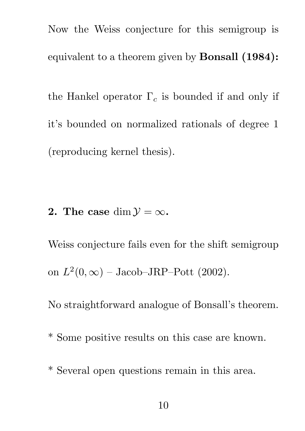Now the Weiss conjecture for this semigroup is equivalent to a theorem given by Bonsall (1984): the Hankel operator  $\Gamma_c$  is bounded if and only if it's bounded on normalized rationals of degree 1 (reproducing kernel thesis).

2. The case dim  $\mathcal{Y} = \infty$ .

Weiss conjecture fails even for the shift semigroup on  $L^2(0,\infty)$  – Jacob–JRP–Pott (2002).

No straightforward analogue of Bonsall's theorem.

- \* Some positive results on this case are known.
- \* Several open questions remain in this area.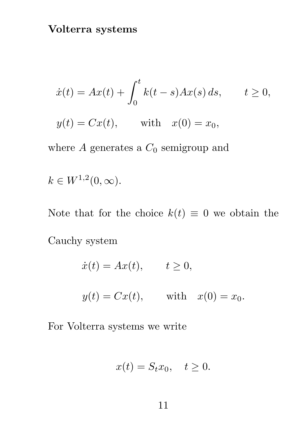$$
\dot{x}(t) = Ax(t) + \int_0^t k(t-s)Ax(s) ds, \qquad t \ge 0,
$$

 $y(t) = Cx(t),$  with  $x(0) = x_0,$ 

where  $A$  generates a  $C_0$  semigroup and

 $k \in W^{1,2}(0,\infty).$ 

Note that for the choice  $k(t) \equiv 0$  we obtain the Cauchy system

$$
\dot{x}(t) = Ax(t), \qquad t \ge 0,
$$
  

$$
y(t) = Cx(t), \qquad \text{with} \quad x(0) = x_0.
$$

For Volterra systems we write

$$
x(t) = S_t x_0, \quad t \ge 0.
$$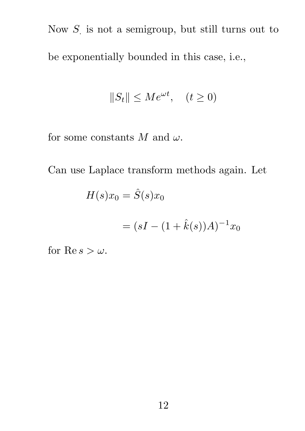Now S is not a semigroup, but still turns out to be exponentially bounded in this case, i.e.,

$$
||S_t|| \le Me^{\omega t}, \quad (t \ge 0)
$$

for some constants  $M$  and  $\omega$ .

Can use Laplace transform methods again. Let

$$
H(s)x_0=\hat{S}(s)x_0
$$

$$
= (sI - (1 + \hat{k}(s))A)^{-1}x_0
$$

for Re  $s > \omega$ .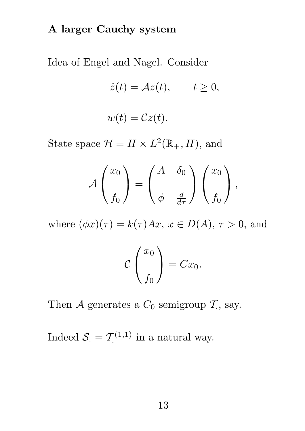## A larger Cauchy system

Idea of Engel and Nagel. Consider

$$
\dot{z}(t) = \mathcal{A}z(t), \qquad t \ge 0,
$$
  

$$
w(t) = \mathcal{C}z(t).
$$

State space  $\mathcal{H} = H \times L^2(\mathbb{R}_+, H)$ , and

$$
\mathcal{A}\begin{pmatrix}x_0\\f_0\end{pmatrix}=\begin{pmatrix}A&\delta_0\\ \phi&\frac{d}{d\tau}\end{pmatrix}\begin{pmatrix}x_0\\f_0\end{pmatrix},\end{pmatrix}
$$

where  $(\phi x)(\tau) = k(\tau)Ax, x \in D(A), \tau > 0$ , and

$$
\mathcal{C}\left(\frac{x_0}{f_0}\right) = Cx_0.
$$

Then  $\mathcal A$  generates a  $C_0$  semigroup  $\mathcal T$ , say.

Indeed  $S = \mathcal{T}^{(1,1)}$  $\tilde{C}^{(1,1)}$  in a natural way.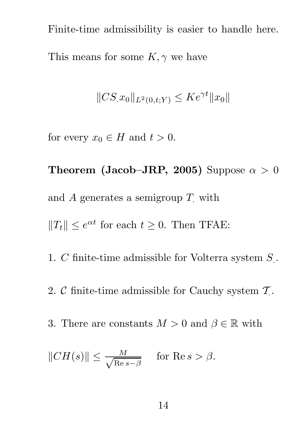Finite-time admissibility is easier to handle here. This means for some  $K, \gamma$  we have

$$
||CS_{.}x_{0}||_{L^{2}(0,t;Y)} \leq Ke^{\gamma t}||x_{0}||
$$

for every  $x_0 \in H$  and  $t > 0$ .

Theorem (Jacob–JRP, 2005) Suppose  $\alpha > 0$ and A generates a semigroup  $T$  with

 $||T_t|| \leq e^{\alpha t}$  for each  $t \geq 0$ . Then TFAE:

1. C finite-time admissible for Volterra system  $S$ .

- 2. C finite-time admissible for Cauchy system  $\mathcal{T}$ .
- 3. There are constants  $M > 0$  and  $\beta \in \mathbb{R}$  with

$$
||CH(s)|| \le \frac{M}{\sqrt{\text{Re}\, s - \beta}} \quad \text{ for Re } s > \beta.
$$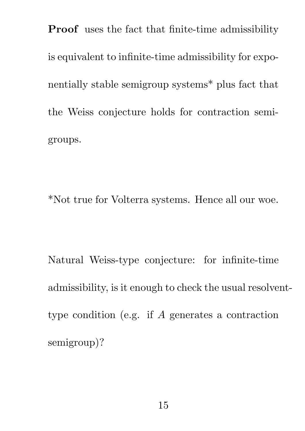Proof uses the fact that finite-time admissibility is equivalent to infinite-time admissibility for exponentially stable semigroup systems\* plus fact that the Weiss conjecture holds for contraction semigroups.

\*Not true for Volterra systems. Hence all our woe.

Natural Weiss-type conjecture: for infinite-time admissibility, is it enough to check the usual resolventtype condition (e.g. if A generates a contraction semigroup)?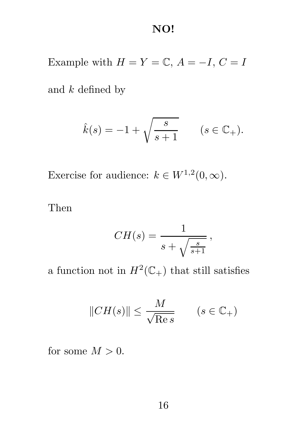### NO!

Example with  $H = Y = \mathbb{C}, A = -I, C = I$ 

and  $k$  defined by

$$
\hat{k}(s) = -1 + \sqrt{\frac{s}{s+1}} \qquad (s \in \mathbb{C}_+).
$$

Exercise for audience:  $k \in W^{1,2}(0, \infty)$ .

Then

$$
CH(s) = \frac{1}{s + \sqrt{\frac{s}{s+1}}},
$$

a function not in  $H^2(\mathbb{C}_+)$  that still satisfies

$$
||CH(s)|| \le \frac{M}{\sqrt{\text{Re }s}} \qquad (s \in \mathbb{C}_+)
$$

for some  $M > 0$ .